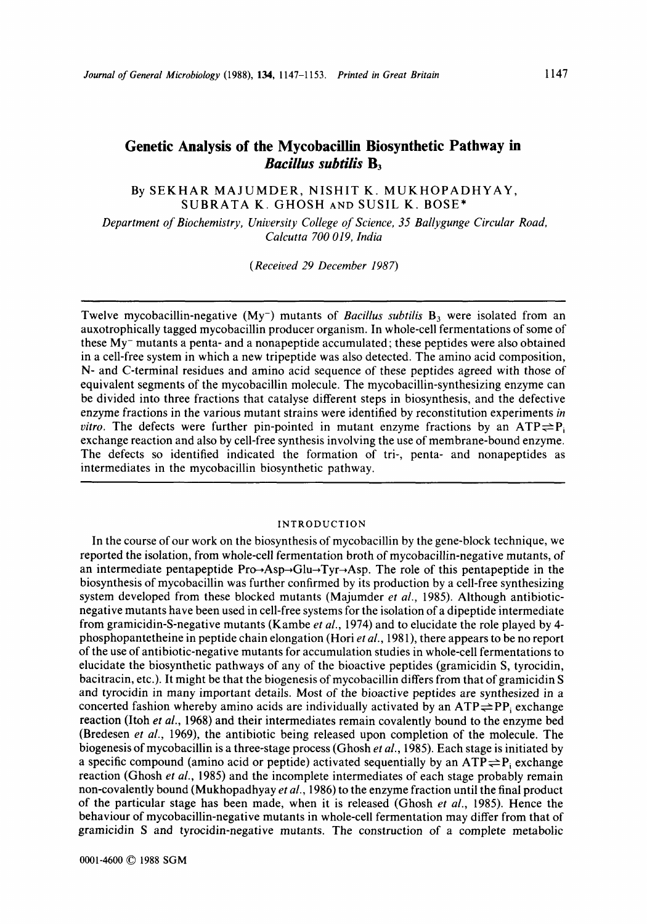# **Genetic Analysis of the Mycobacillin Biosynthetic Pathway in Bacillus subtilis B**<sub>3</sub>

By SEKHAR MAJUMDER, NISHIT K. MUKHOPADHYAY, SUBRATA K. GHOSH AND SUSIL K. BOSE\*

*Department* **of** *Biochemistry, University College* **of** *Science, 35 Ballygunge Circular Road, Calcutta 700 019, India* 

*(Received 29 December 1987)* 

Twelve mycobacillin-negative (My<sup>-</sup>) mutants of *Bacillus subtilis* B<sub>3</sub> were isolated from an auxotrophically tagged mycobacillin producer organism. In whole-cell fermentations of some of these My- mutants a penta- and a nonapeptide accumulated; these peptides were also obtained in a cell-free system in which a new tripeptide was also detected. The amino acid composition, N- and C-terminal residues and amino acid sequence of these peptides agreed with those of equivalent segments of the mycobacillin molecule. The mycobacillin-synthesizing enzyme can be divided into three fractions that catalyse different steps in biosynthesis, and the defective enzyme fractions in the various mutant strains were identified by reconstitution experiments *in vitro.* The defects were further pin-pointed in mutant enzyme fractions by an  $ATP \rightleftharpoons P_i$ exchange reaction and also by cell-free synthesis involving the use of membrane-bound enzyme. The defects so identified indicated the formation **of** tri-, penta- and nonapeptides as intermediates in the mycobacillin biosynthetic pathway.

#### INTRODUCTION

In the course of our work on the biosynthesis of mycobacillin by the gene-block technique, we reported the isolation, from whole-cell fermentation broth of mycobacillin-negative mutants, of an intermediate pentapeptide  $Pro\rightarrow Asp\rightarrow Glu\rightarrow Tvr\rightarrow Asp$ . The role of this pentapeptide in the biosynthesis of mycobacillin was further confirmed by its production by a cell-free synthesizing system developed from these blocked mutants (Majumder *et al.,* 1985). Although antibioticnegative mutants have been used in cell-free systems for the isolation of a dipeptide intermediate from gramicidin-S-negative mutants (Kambe *et al.,* 1974) and to elucidate the role played by 4 phosphopantetheine in peptide chain elongation (Hori *et al.,* 1981), there appears to be no report of the use of antibiotic-negative mutants for accumulation studies in whole-cell fermentations to elucidate the biosynthetic pathways **of** any of the bioactive peptides (gramicidin **S,** tyrocidin, bacitracin, etc.). It might be that the biogenesis of mycobacillin differs from that of gramicidin **S**  and tyrocidin in many important details. Most of the bioactive peptides are synthesized in a concerted fashion whereby amino acids are individually activated by an  $ATP \rightleftharpoons PP$ , exchange reaction (Itoh *et al., 1968)* and their intermediates remain covalently bound to the enzyme bed (Bredesen *et al.,* 1969), the antibiotic being released upon completion of the molecule. The biogenesis of mycobacillin is a three-stage process (Ghosh *et al.,* 1985). Each stage is initiated by a specific compound (amino acid or peptide) activated sequentially by an  $ATP \rightleftharpoons P_i$  exchange reaction (Ghosh *et al.,* 1985) and the incomplete intermediates of each stage probably remain non-covalently bound (Mukhopadhyay *et al.,* 1986) to the enzyme fraction until the final product of the particular stage has been made, when it is released (Ghosh *et al.,* 1985). Hence the behaviour **of** mycobacillin-negative mutants in whole-cell fermentation may differ from that **of**  gramicidin **S** and tyrocidin-negative mutants. The construction of a complete metabolic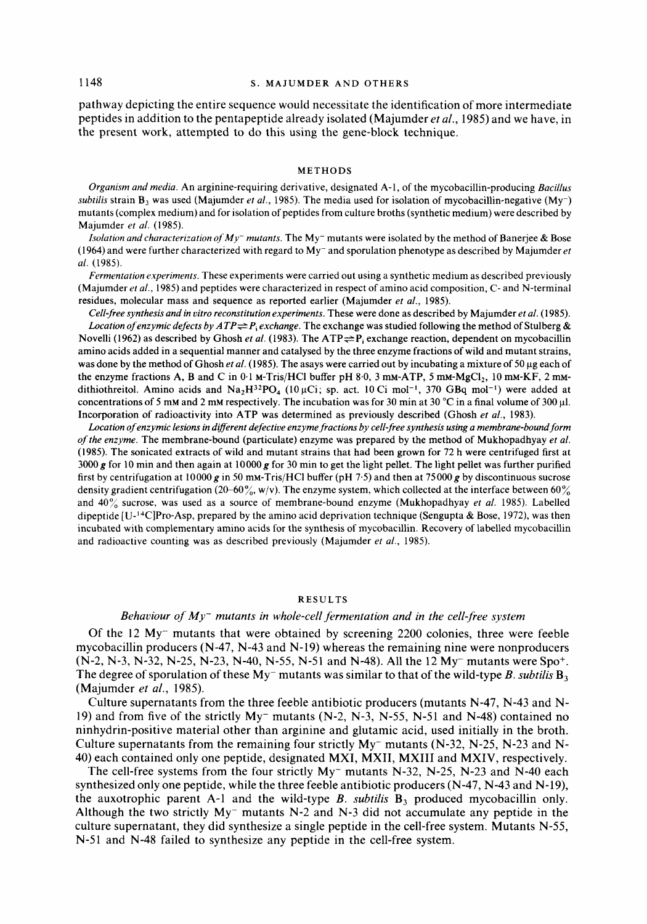## 1148 **S. MAJUMDER AND OTHERS**

pathway depicting the entire sequence would necessitate the identification of more intermediate peptides in addition to the pentapeptide already isolated (Majumder *et al.,* 1985) and we have, in the present work, attempted to do this using the gene-block technique.

#### **METHODS**

*Organism and media.* An arginine-requiring derivative, designated A-1 , of the mycobacillin-producing *Bacillus subtilis* strain  $B_3$  was used (Majumder *et al.*, 1985). The media used for isolation of mycobacillin-negative (My<sup>-</sup>) mutants (complex medium) and for isolation of peptides from culture broths (synthetic medium) were described by Majumder *et al.* (1985).

*Isolation and characterization of My- mutants.* The My- mutants were isolated by the method of Banerjee & Bose (1964) and were further characterized with regard to  $Mv^-$  and sporulation phenotype as described by Majumder et *al.* (1985).

*Fermentation experiments.* These experiments were carried out using a synthetic medium as described previously (Majumder *et al.,* **1985)** and peptides were characterized in respect of amino acid composition, C- and N-terminal residues, molecular mass and sequence as reported earlier (Majumder *et al.,* **1985).** 

*Cell-free synthesis and in vitro reconstitution experiments.* These were done as described by Majumder *et al.* (1985). Location of enzymic defects by  $ATP \rightleftharpoons P_i$  exchange. The exchange was studied following the method of Stulberg & Novelli (1962) as described by Ghosh *et al.* (1983). The ATP $\rightleftharpoons$ P<sub>i</sub> exchange reaction, dependent on mycobacillin amino acids added in a sequential manner and catalysed by the three enzyme fractions of wild and mutant strains, was done by the method of Ghosh *et al.* (1985). The asays were carried out by incubating a mixture of 50 µg each of the enzyme fractions A, B and C in 0.1 M-Tris/HCl buffer pH 8.0, 3 mM-ATP, 5 mM-MgCl<sub>2</sub>, 10 mM-KF, 2 mMdithiothreitol. Amino acids and  $Na<sub>2</sub>H<sup>32</sup>PO<sub>4</sub>$  (10  $\mu$ Ci; sp. act. 10 Ci mol<sup>-1</sup>, 370 GBq mol<sup>-1</sup>) were added at concentrations of **5** mM and **2** mM respectively. The incubation was for **30** min at **30** "C in a final volume of **300** p1. Incorporation of radioactivity into ATP was determined as previously described (Ghosh *et al.,* **1983).** 

*Location* **of** *enzymic lesions in diferent defective enzyme fractions by cell-free synthesis using a membrane-bound form*  **of** *the enzyme.* The membrane-bound (particulate) enzyme was prepared by the method of Mukhopadhyay *et al.*  **(1985).** The sonicated extracts **of** wild and mutant strains that had been grown for **72** h were centrifuged first at **3000g** for 10 min and then again at lOOOOg for **30** min to get the light pellet. The light pellet was further purified first by centrifugation at **lOOOOg** in 50 mM-Tris/HCI buffer (pH **7.5)** and then at **75000g** by discontinuous sucrose density gradient centrifugation **(20-60%,** w/v). The enzyme system, which collected at the interface between **60%**  and **40%** sucrose, was used as a source of membrane-bound enzyme (Mukhopadhyay *et al.* **1985).** Labelled dipeptide [U-'"C]Pro-Asp, prepared by the amino acid deprivation technique (Sengupta & Bose, **1972),** was then incubated with complementary amino acids for the synthesis of mycobacillin. Recovery of labelled mycobacillin and radioactive counting was as described previously (Majumder *et al.,* 1985).

#### **RESULTS**

#### *Behaviour* **of** *My- mutants in whole-cell fermentation and in the cell-free system*

Of the 12 My- mutants that were obtained by screening 2200 colonies, three were feeble mycobacillin producers (N-47, N-43 and N-19) whereas the remaining nine were nonproducers (N-2, N-3, N-32, N-25, N-23, N-40, N-55, N-51 and N-48). All the 12 My- mutants were Spo+. The degree of sporulation of these  $My$  mutants was similar to that of the wild-type *B*. *subtilis*  $B_3$ (Majumder *et al.,* 1985).

Culture supernatants from the three feeble antibiotic producers (mutants N-47, N-43 and N-19) and from five of the strictly  $My^-$  mutants (N-2, N-3, N-55, N-51 and N-48) contained no ninhydrin-positive material other than arginine and glutamic acid, used initially in the broth. Culture supernatants from the remaining four strictly  $My^-$  mutants (N-32, N-25, N-23 and N-40) each contained only one peptide, designated MXI, MXII, MXIII and MXIV, respectively.

The cell-free systems from the four strictly  $My^-$  mutants N-32, N-25, N-23 and N-40 each synthesized only one peptide, while the three feeble antibiotic producers  $(N-47, N-43$  and  $N-19)$ , the auxotrophic parent A-1 and the wild-type  $B$ . *subtilis*  $B_3$  produced mycobacillin only. Although the two strictly  $My^-$  mutants N-2 and N-3 did not accumulate any peptide in the culture supernatant, they did synthesize a single peptide in the cell-free system. Mutants N-55, N-51 and N-48 failed to synthesize any peptide in the cell-free system.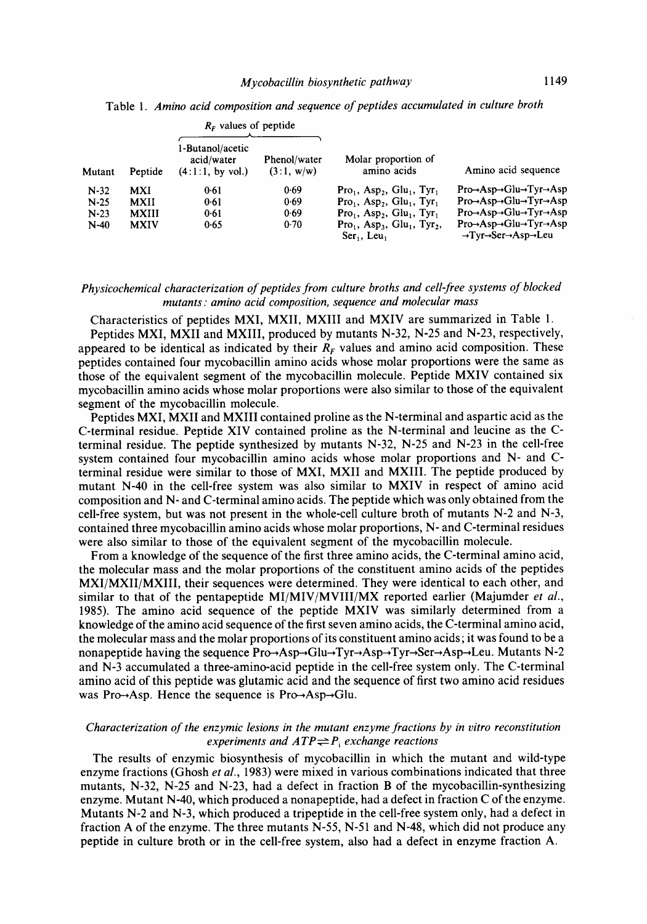|        |              | $RF$ values of peptide                             |                            |                                                                                                 |                                                                                                                                              |
|--------|--------------|----------------------------------------------------|----------------------------|-------------------------------------------------------------------------------------------------|----------------------------------------------------------------------------------------------------------------------------------------------|
| Mutant | Peptide      | 1-Butanol/acetic<br>acid/water<br>(4:1:1, by vol.) | Phenol/water<br>(3:1, w/w) | Molar proportion of<br>amino acids                                                              | Amino acid sequence                                                                                                                          |
| $N-32$ | MXI          | 0.61                                               | 0.69                       | $Pro1$ , Asp <sub>2</sub> , Glu <sub>1</sub> , Tyr <sub>1</sub>                                 | $Pro\rightarrow Asp\rightarrow Glu\rightarrow Tyr\rightarrow Asp$                                                                            |
| $N-25$ | MXII         | 0.61                                               | 0.69                       | $Pro1$ , Asp <sub>2</sub> , Glu <sub>1</sub> , Tyr <sub>1</sub>                                 | $Pro \rightarrow Asp \rightarrow Glu \rightarrow Tyr \rightarrow Asp$                                                                        |
| $N-23$ | <b>MXIII</b> | 0.61                                               | 0.69                       | $Pro1$ , Asp <sub>2</sub> , Glu <sub>1</sub> , Tyr <sub>1</sub>                                 | $Pro \rightarrow Asp \rightarrow Glu \rightarrow Tyr \rightarrow Asp$                                                                        |
| $N-40$ | <b>MXIV</b>  | 0.65                                               | 0.70                       | $Pro1$ , Asp <sub>3</sub> , Glu <sub>1</sub> , Tyr <sub>2</sub> ,<br>$Ser_1$ , Leu <sub>1</sub> | $Pro\rightarrow Asp\rightarrow Glu\rightarrow Tyr\rightarrow Asp$<br>$\rightarrow$ Tyr $\rightarrow$ Ser $\rightarrow$ Asp $\rightarrow$ Leu |

Table **1.** *Amino acid composition and sequence of peptides accumulated in culture broth* 

## *Physicochemical characterization of peptides from culture broths and cell-free systems of blocked mutants* : *amino acid composition, sequence and molecular mass*

Characteristics of peptides MXI, MXII, MXIII and MXIV are summarized in Table 1.

Peptides MXI, MXII and MXIII, produced by mutants N-32, N-25 and N-23, respectively, appeared to be identical as indicated by their  $R_F$  values and amino acid composition. These peptides contained four mycobacillin amino acids whose molar proportions were the same as those of the equivalent segment of the mycobacillin molecule. Peptide MXIV contained six mycobacillin amino acids whose molar proportions were also similar to those of the equivalent segment of the mycobacillin molecule.

Peptides MXI, MXII and MXIII contained proline as the N-terminal and aspartic acid as the C-terminal residue. Peptide XIV contained proline as the N-terminal and leucine as the Cterminal residue. The peptide synthesized by mutants N-32, N-25 and N-23 in the cell-free system contained four mycobacillin amino acids whose molar proportions and N- and Cterminal residue were similar to those of MXI, MXII and MXIII. The peptide produced by mutant N-40 in the cell-free system was also similar to MXIV in respect of amino acid composition and N- and C-terminal amino acids. The peptide which was only obtained from the cell-free system, but was not present in the whole-cell culture broth of mutants  $N-2$  and  $N-3$ , contained three mycobacillin amino acids whose molar proportions, N- and C-terminal residues were also similar to those of the equivalent segment of the mycobacillin molecule.

From a knowledge of the sequence of the first three amino acids, the C-terminal amino acid, the molecular mass and the molar proportions of the constituent amino acids of the peptides MXI/MXII/MXIII, their sequences were determined. They were identical to each other, and similar to that of the pentapeptide MI/MIV/MVIII/MX reported earlier (Majumder *et al.,*  1985). The amino acid sequence of the peptide MXIV was similarly determined from a knowledge of the amino acid sequence of the first seven amino acids, the C-terminal amino acid, the molecular mass and the molar proportions of its constituent amino acids; it was found to be a nonapeptide having the sequence **Pro+Asp+Glu+Tyr+Asp-+Tyr+Ser+Asp+Leu.** Mutants N-2 and N-3 accumulated a three-amino-acid peptide in the cell-free system only. The C-terminal amino acid of this peptide was glutamic acid and the sequence of first two amino acid residues was Pro $\rightarrow$ Asp. Hence the sequence is Pro $\rightarrow$ Asp $\rightarrow$ Glu.

## *Characterization* **of** *the enzymic lesions in the mutant enzyme fractions by in vitro reconstitution experiments and*  $ATP \rightleftharpoons P_i$  *exchange reactions*

The results of enzymic biosynthesis of mycobacillin in which the mutant and wild-type enzyme fractions (Ghosh *et al.,* 1983) were mixed in various combinations indicated that three mutants, N-32, N-25 and N-23, had a defect in fraction **B** of the **mycobacillin-synthesizing**  enzyme. Mutant N-40, which produced a nonapeptide, had a defect in fraction C of the enzyme. Mutants N-2 and N-3, which produced a tripeptide in the cell-free system only, had a defect in fraction **A** of the enzyme. The three mutants N-55, N-51 and N-48, which did not produce any peptide in culture broth or in the cell-free system, also had a defect in enzyme fraction **A.**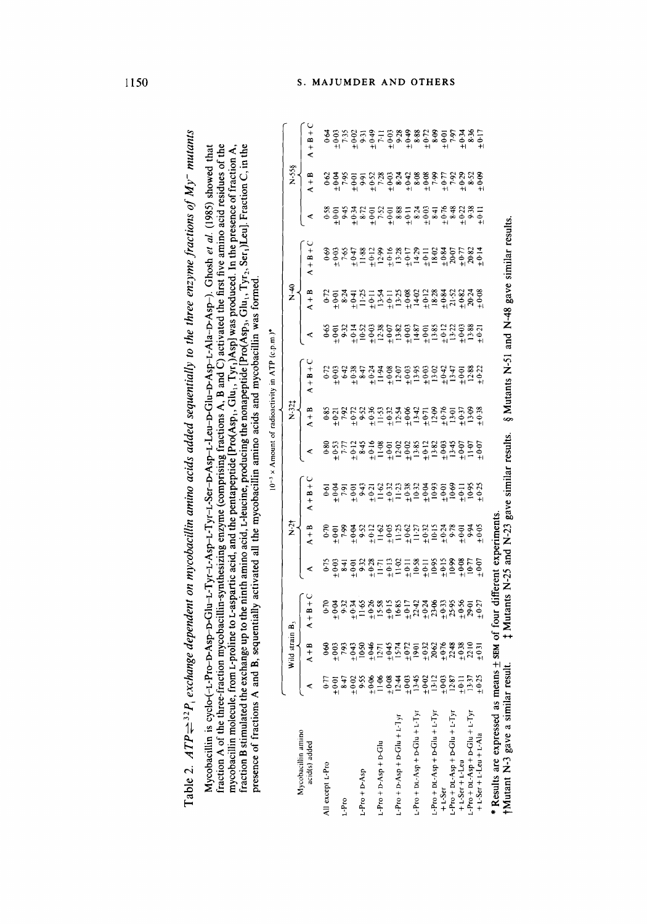|                                      |                                                                                                                                                                               |                                    |                                                                                                                                                                                                                                                                                                   |                                                                                                                                                                                                                                                                                                                                                                                                                                                                   |                |             |   |                                                                                                                                                                                                                                | $10^{-3}$ × Amount of radioactivity in ATP (c.p.m.)* |   |         |             |   |         |                                                                                    |
|--------------------------------------|-------------------------------------------------------------------------------------------------------------------------------------------------------------------------------|------------------------------------|---------------------------------------------------------------------------------------------------------------------------------------------------------------------------------------------------------------------------------------------------------------------------------------------------|-------------------------------------------------------------------------------------------------------------------------------------------------------------------------------------------------------------------------------------------------------------------------------------------------------------------------------------------------------------------------------------------------------------------------------------------------------------------|----------------|-------------|---|--------------------------------------------------------------------------------------------------------------------------------------------------------------------------------------------------------------------------------|------------------------------------------------------|---|---------|-------------|---|---------|------------------------------------------------------------------------------------|
| Mycobacillin amino                   |                                                                                                                                                                               | Wild strain B <sub>3</sub>         |                                                                                                                                                                                                                                                                                                   |                                                                                                                                                                                                                                                                                                                                                                                                                                                                   | $\frac{24}{5}$ |             |   | $\overline{X}$                                                                                                                                                                                                                 |                                                      |   | ञ<br>Z  |             |   | N-55§   |                                                                                    |
| acid(s) added                        | ⋖                                                                                                                                                                             | $A + B$                            | $A + B + C$                                                                                                                                                                                                                                                                                       | ⋖<br>L                                                                                                                                                                                                                                                                                                                                                                                                                                                            | $A + B$        | $A + B + C$ | ⋖ | $A + B$                                                                                                                                                                                                                        | $A + B + C$                                          | ⋖ | $A + B$ | $A + B + C$ | ⋖ | $A + B$ | $C + B + C$                                                                        |
| All except L-Pro                     | 677                                                                                                                                                                           | $6-60$                             |                                                                                                                                                                                                                                                                                                   |                                                                                                                                                                                                                                                                                                                                                                                                                                                                   |                |             |   |                                                                                                                                                                                                                                |                                                      |   |         | $69-$       |   |         | 0.64                                                                               |
|                                      | $\frac{18.8}{10.07}$                                                                                                                                                          | $\pm 0.03$                         | $+0.04$                                                                                                                                                                                                                                                                                           | $\begin{array}{cccccccccc} \varphi_1 & \varphi_2 & \varphi_3 & \varphi_4 & \varphi_5 & \varphi_6 & \varphi_7 & \varphi_8 & \varphi_7 & \varphi_8 & \varphi_7 & \varphi_9 & \varphi_9 & \varphi_9 & \varphi_9 & \varphi_9 & \varphi_9 & \varphi_9 & \varphi_9 & \varphi_9 & \varphi_9 & \varphi_9 & \varphi_9 & \varphi_9 & \varphi_9 & \varphi_9 & \varphi_9 & \varphi_9 & \varphi_9 & \varphi_9 & \varphi_9 & \varphi_9 & \varphi_9 & \varphi_9 & \varphi_9 & \$ |                |             |   | $0.51$ $0.72$ $0.83$ $0.73$ $0.83$ $0.73$ $0.83$ $0.73$ $0.83$ $0.73$ $0.83$ $0.72$ $0.63$ $0.72$ $0.63$ $0.73$ $0.83$ $0.73$ $0.83$ $0.72$ $0.63$ $0.72$ $0.72$ $0.72$ $0.72$ $0.72$ $0.72$ $0.72$ $0.72$ $0.72$ $0.72$ $0.7$ |                                                      |   |         |             |   |         | 11979 - 12979 - 12979 - 1297<br>12979 - 12979 - 1298<br>12979 - 1298 - 1298 - 1298 |
| L-Pro                                |                                                                                                                                                                               | 7.93                               |                                                                                                                                                                                                                                                                                                   |                                                                                                                                                                                                                                                                                                                                                                                                                                                                   |                |             |   |                                                                                                                                                                                                                                |                                                      |   |         |             |   |         |                                                                                    |
|                                      | $^{+0.02}_{-9.5}$                                                                                                                                                             | $\frac{10.91}{10.50}$              |                                                                                                                                                                                                                                                                                                   |                                                                                                                                                                                                                                                                                                                                                                                                                                                                   |                |             |   |                                                                                                                                                                                                                                |                                                      |   |         |             |   |         |                                                                                    |
| $L-PTO + D-ASp$                      |                                                                                                                                                                               |                                    |                                                                                                                                                                                                                                                                                                   |                                                                                                                                                                                                                                                                                                                                                                                                                                                                   |                |             |   |                                                                                                                                                                                                                                |                                                      |   |         |             |   |         |                                                                                    |
|                                      |                                                                                                                                                                               |                                    |                                                                                                                                                                                                                                                                                                   |                                                                                                                                                                                                                                                                                                                                                                                                                                                                   |                |             |   |                                                                                                                                                                                                                                |                                                      |   |         |             |   |         |                                                                                    |
| $L-P$ ro + D-Asp + D-Glu             |                                                                                                                                                                               |                                    |                                                                                                                                                                                                                                                                                                   |                                                                                                                                                                                                                                                                                                                                                                                                                                                                   |                |             |   |                                                                                                                                                                                                                                |                                                      |   |         |             |   |         |                                                                                    |
|                                      |                                                                                                                                                                               |                                    |                                                                                                                                                                                                                                                                                                   |                                                                                                                                                                                                                                                                                                                                                                                                                                                                   |                |             |   |                                                                                                                                                                                                                                |                                                      |   |         |             |   |         |                                                                                    |
| $L$ -Pro + D-Asp + D-Glu + $L$ -T yr |                                                                                                                                                                               |                                    |                                                                                                                                                                                                                                                                                                   |                                                                                                                                                                                                                                                                                                                                                                                                                                                                   |                |             |   |                                                                                                                                                                                                                                |                                                      |   |         |             |   |         |                                                                                    |
|                                      | $\frac{1}{2}$ = $\frac{1}{2}$ = $\frac{1}{2}$ = $\frac{1}{2}$ = $\frac{1}{2}$ = $\frac{1}{2}$ = $\frac{1}{2}$ = $\frac{1}{2}$ = $\frac{1}{2}$ = $\frac{1}{2}$ = $\frac{1}{2}$ | $25.4772522888$<br>$25.4972522888$ | $\begin{array}{cccc}\n3.35 & 3.85 & 3.85 & 5.87 \\ 5.45 & 6.85 & 6.85 & 6.85 \\ 6.45 & 6.85 & 6.85 & 6.85 \\ 7.45 & 6.85 & 6.85 & 6.85 \\ 8.45 & 6.85 & 6.85 & 6.85 \\ 9.45 & 9.85 & 9.85 & 6.85 \\ 10.45 & 9.85 & 9.85 & 6.85 \\ 11.45 & 9.85 & 9.85 & 6.85 \\ 12.45 & 9.85 & 9.85 & 6.85 \\ 13$ |                                                                                                                                                                                                                                                                                                                                                                                                                                                                   |                |             |   |                                                                                                                                                                                                                                |                                                      |   |         |             |   |         |                                                                                    |
| $L$ -Pro + DL-Asp + D-Glu + L-Tyr    |                                                                                                                                                                               |                                    |                                                                                                                                                                                                                                                                                                   |                                                                                                                                                                                                                                                                                                                                                                                                                                                                   |                |             |   |                                                                                                                                                                                                                                |                                                      |   |         |             |   |         |                                                                                    |
|                                      | $\frac{1000}{1312}$                                                                                                                                                           |                                    |                                                                                                                                                                                                                                                                                                   |                                                                                                                                                                                                                                                                                                                                                                                                                                                                   |                |             |   |                                                                                                                                                                                                                                |                                                      |   |         |             |   |         |                                                                                    |
| $L$ -Pro + DL-Asp + D-Glu + $L$ -Tyr |                                                                                                                                                                               |                                    |                                                                                                                                                                                                                                                                                                   |                                                                                                                                                                                                                                                                                                                                                                                                                                                                   |                |             |   |                                                                                                                                                                                                                                |                                                      |   |         |             |   |         |                                                                                    |
| $+1.5er$                             | $\frac{+0.03}{12.87}$                                                                                                                                                         |                                    |                                                                                                                                                                                                                                                                                                   |                                                                                                                                                                                                                                                                                                                                                                                                                                                                   |                |             |   |                                                                                                                                                                                                                                |                                                      |   |         |             |   |         |                                                                                    |
| $L-Pro + DL-Asp + D-Glu + L-Tyr$     |                                                                                                                                                                               |                                    |                                                                                                                                                                                                                                                                                                   |                                                                                                                                                                                                                                                                                                                                                                                                                                                                   |                |             |   |                                                                                                                                                                                                                                |                                                      |   |         |             |   |         |                                                                                    |
| $+1.5er + 1.1en$                     | $\frac{1}{2}$                                                                                                                                                                 | $\pm 0.38$<br>22.10                |                                                                                                                                                                                                                                                                                                   |                                                                                                                                                                                                                                                                                                                                                                                                                                                                   |                |             |   |                                                                                                                                                                                                                                |                                                      |   |         |             |   |         |                                                                                    |
| $L-Pro + DL-Asp + D-Glu + L-Tyr$     | 13.37                                                                                                                                                                         |                                    |                                                                                                                                                                                                                                                                                                   |                                                                                                                                                                                                                                                                                                                                                                                                                                                                   |                |             |   |                                                                                                                                                                                                                                |                                                      |   |         |             |   |         |                                                                                    |
| $+ L-Ser + L-Leu + L-Ala$            | ± 0.25                                                                                                                                                                        | ±0.31                              |                                                                                                                                                                                                                                                                                                   |                                                                                                                                                                                                                                                                                                                                                                                                                                                                   |                |             |   |                                                                                                                                                                                                                                |                                                      |   |         |             |   |         |                                                                                    |

\$ Mutants **N-25** and N-23 gave similar results. **6** Mutants N-51 and N-48 gave similar results. \* Results are expressed as means  $\pm$  sEM of four different experiments.<br>†Mutant N-3 gave a similar result.  $\pm$  Mutants N-25 and N-23 gave similar results. §Mutants N-51 and N-48 gave similar results. **SEM** of four different experiments. ?Mutant N-3 gave a similar result. \* Results are expressed as means

1150

**Table** *2. ATPG~~P, exchange dependent on mycobacillin amino acids added sequentially to the three enzyme fractions of My- mutants*  Mycobacillin is **cyclo-(-L-Pr~~Asp-D-Glu-L-Tyr-L-Asp-L-Tyr-L-Ser-D-Asp-L-Leu-DGlu-D-AspL-Ala-DAsp-).** Ghosh et al. (1985) showed that fraction **A** of the three-fraction **mycobacillin-synthesizing** enzyme (comprising fractions A, B and C) activated the first five amino acid residues of the

Table 2. ATP  $\rightleftharpoons$ <sup>32</sup>P<sub>i</sub> exchange dependent on mycobacillin amino acids added sequentially to the three enzyme fractions of My<sup>-</sup> mutants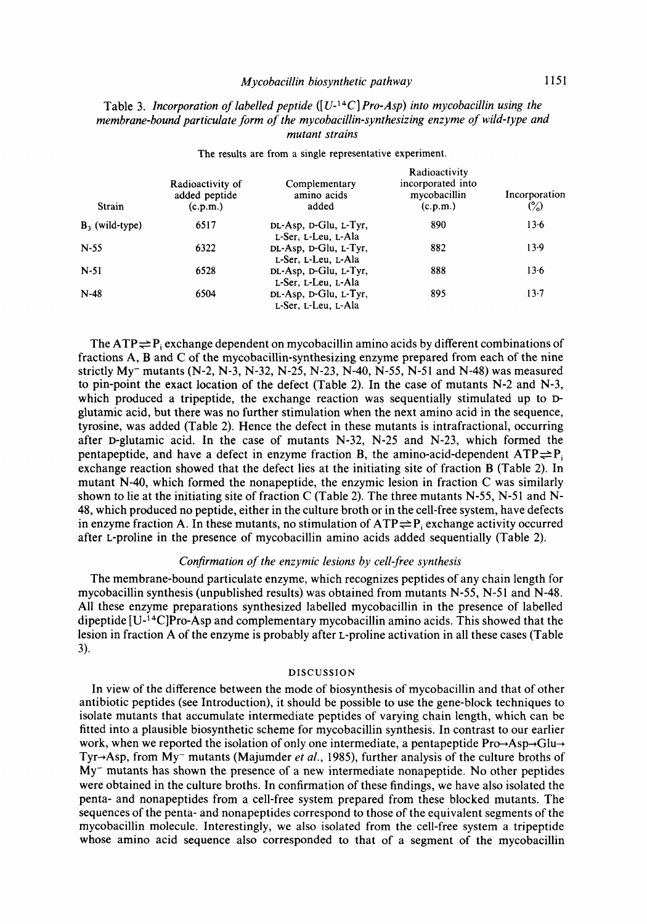#### *Mycobacillin biosynthetic pathway* 1151

## Table 3. *Incorporation* **of** *labelled peptide* ([ **U-14C]** *Pro-Asp) into mycobacillin using the membrane-bound particulate form of the mycobacillin-synthesizing enzyme of wild-type and mutant strains*

**Radioactivity of** Complementary incorporated into added peptide amino acids mycobacillin **Radioactivity**  added peptide amino acids mycobacillin Incorporation (c.p.m.) ( $\binom{6}{0}$ **Strain** (c.p.m.) added (c.p.m.)  $\binom{(\mathcal{C}, \mathcal{D}, \mathcal{D}, \mathcal{D})}{(0, \mathcal{D}, \mathcal{D})}$  added (c.p.m.)  $\binom{(\mathcal{C}, \mathcal{D}, \mathcal{D}, \mathcal{D})}{(0, \mathcal{D}, \mathcal{D}, \mathcal{D})}$ **B**<sub>3</sub> (wild-type) 6517 **DL-Asp, D-Glu, L-Tyr,** 890 N-55 6322 DL-Asp, D-Glu, L-Tyr, 882 **N-51 6528 DL-Asp, D-Glu, L-Tyr,** 888 N-48 6504 **DL-Asp, D-Glu, L-Tyr,** 895 **L-Ser, L-Leu, L-Ala L-Ser, L-Leu, L-Ala L-Ser, L-Leu, L-Ala L-Set, L-Leu, L-Ala 13.6 13.9 13.6 13.7** 

**The results are from a single representative experiment.** 

The  $ATP \rightleftharpoons P_i$  exchange dependent on mycobacillin amino acids by different combinations of fractions A, **B** and C of the mycobacillin-synthesizing enzyme prepared from each of the nine strictly  $My$  mutants (N-2, N-3, N-32, N-25, N-23, N-40, N-55, N-51 and N-48) was measured to pin-point the exact location of the defect (Table 2). In the case of mutants N-2 and N-3, which produced a tripeptide, the exchange reaction was sequentially stimulated up to Dglutamic acid, but there was no further stimulation when the next amino acid in the sequence, tyrosine, was added (Table **2).** Hence the defect in these mutants is intrafractional, occurring after D-glutamic acid. In the case of mutants N-32, **N-25** and N-23, which formed the pentapeptide, and have a defect in enzyme fraction **B**, the amino-acid-dependent  $ATP \rightleftharpoons P_i$ exchange reaction showed that the defect lies at the initiating site of fraction **B** (Table **2).** In mutant **N-40,** which formed the nonapeptide, the enzymic lesion in fraction C was similarly shown to lie at the initiating site of fraction C (Table 2). The three mutants  $N-55$ ,  $N-51$  and  $N-$ **48,** which produced no peptide, either in the culture broth or in the cell-free system, have defects in enzyme fraction A. In these mutants, no stimulation of  $ATP \rightleftharpoons P_i$  exchange activity occurred after L-proline in the presence of mycobacillin amino acids added sequentially (Table 2).

## *Conjirmation of the enzymic lesions by cell-free synthesis*

The membrane-bound particulate enzyme, which recognizes peptides of any chain length for mycobacillin synthesis (unpublished results) was obtained from mutants N-55, **N-5** 1 and N-48. All these enzyme preparations synthesized labelled mycobacillin in the presence of labelled dipeptide  $[U^{-14}C]Pro-Asp$  and complementary mycobacillin amino acids. This showed that the lesion in fraction A of the enzyme is probably after L-proline activation in all these cases (Table 3).

#### **DISCUSSION**

In view of the difference between the mode of biosynthesis of mycobacillin and that of other antibiotic peptides (see Introduction), it should be possible to use the gene-block techniques to isolate mutants that accumulate intermediate peptides of varying chain length, which can be fitted into a plausible biosynthetic scheme for mycobacillin synthesis. In contrast to our earlier work, when we reported the isolation of only one intermediate, a pentapeptide  $Pro\rightarrow Asp\rightarrow Glu\rightarrow$ Tyr-+Asp, from My- mutants (Majumder *et al.,* 1985), further analysis of the culture broths of  $My<sub>-</sub>$  mutants has shown the presence of a new intermediate nonapeptide. No other peptides were obtained in the culture broths. In confirmation of these findings, we have also isolated the penta- and nonapeptides from a cell-free system prepared from these blocked mutants. The sequences of the penta- and nonapeptides correspond to those of the equivalent segments of the mycobacillin molecule. Interestingly, we also isolated from the cell-free system a tripeptide whose amino acid sequence also corresponded to that of a segment of the mycobacillin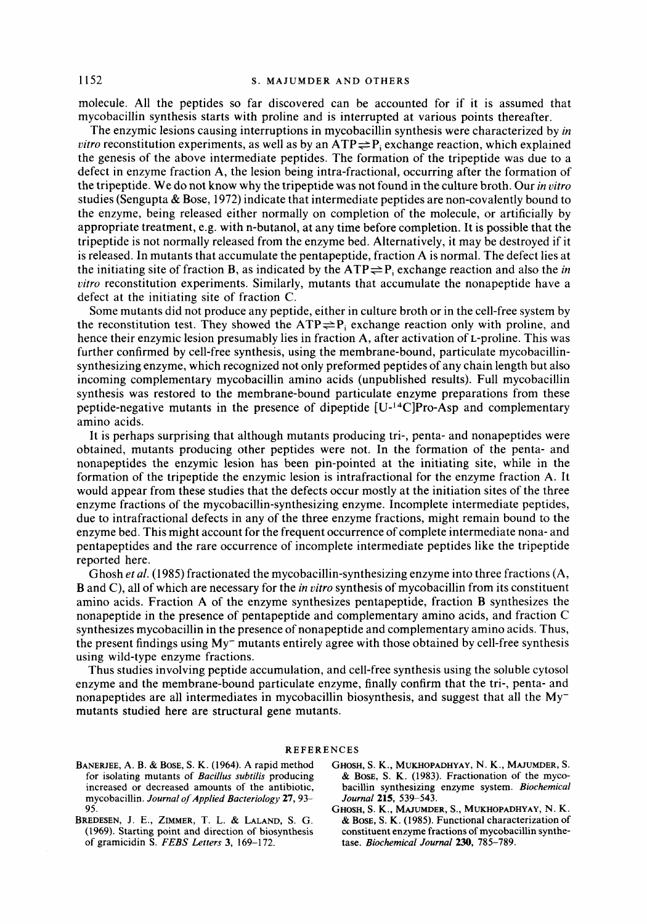molecule. All the peptides so far discovered can be accounted for if it is assumed that mycobacillin synthesis starts with proline and is interrupted at various points thereafter.

The enzymic lesions causing interruptions in mycobacillin synthesis were characterized by *in vitro* reconstitution experiments, as well as by an  $ATP \rightleftharpoons P$ , exchange reaction, which explained the genesis of the above intermediate peptides. The formation of the tripeptide was due to a defect in enzyme fraction A, the lesion being intra-fractional, occurring after the formation of the tripeptide. We do not know why the tripeptide was not found in the culture broth. Our *in vitro*  studies (Sengupta & Bose, 1972) indicate that intermediate peptides are non-covalently bound to the enzyme, being released either normally on completion of the molecule, **or** artificially by appropriate treatment, e.g. with n-butanol, at any time before completion. It is possible that the tripeptide is not normally released from the enzyme bed. Alternatively, it may be destroyed if it is released. In mutants that accumulate the pentapeptide, fraction A is normal. The defect lies at the initiating site of fraction B, as indicated by the  $ATP \rightleftharpoons P$ , exchange reaction and also the *in vitro* reconstitution experiments. Similarly, mutants that accumulate the nonapeptide have a defect at the initiating site of fraction C.

Some mutants did not produce any peptide, either in culture broth **or** in the cell-free system by the reconstitution test. They showed the  $ATP \rightleftharpoons P_i$  exchange reaction only with proline, and hence their enzymic lesion presumably lies in fraction A, after activation of L-proline. This was further confirmed by cell-free synthesis, using the membrane-bound, particulate mycobacillinsynthesizing enzyme, which recognized not only preformed peptides of any chain length but also incoming complementary mycobacillin amino acids (unpublished results). Full mycobacillin synthesis was restored to the membrane-bound particulate enzyme preparations from these peptide-negative mutants in the presence of dipeptide  $[U^{-14}C]Pro-Asp$  and complementary amino acids.

It is perhaps surprising that although mutants producing tri-, penta- and nonapeptides were obtained, mutants producing other peptides were not. In the formation of the penta- and nonapeptides the enzymic lesion has been pin-pointed at the initiating site, while in the formation of the tripeptide the enzymic lesion is intrafractional for the enzyme fraction A. It would appear from these studies that the defects occur mostly at the initiation sites of the three enzyme fractions of the mycobacillin-synthesizing enzyme. Incomplete intermediate peptides, due to intrafractional defects in any of the three enzyme fractions, might remain bound to the enzyme bed. This might account for the frequent occurrence of complete intermediate nona- and pentapeptides and the rare occurrence of incomplete intermediate peptides like the tripeptide reported here.

Ghosh *et al.* (1985) fractionated the mycobacillin-synthesizing enzyme into three fractions (A, B and C), all of which are necessary for the *in vitro* synthesis of mycobacillin from its constituent amino acids. Fraction A of the enzyme synthesizes pentapeptide, fraction **B** synthesizes the nonapeptide in the presence of pentapeptide and complementary amino acids, and fraction C synthesizes mycobacillin in the presence of nonapeptide and complementary amino acids. Thus, the present findings using  $My^-$  mutants entirely agree with those obtained by cell-free synthesis using wild-type enzyme fractions.

Thus studies involving peptide accumulation, and cell-free synthesis using the soluble cytosol enzyme and the membrane-bound particulate enzyme, finally confirm that the tri-, penta- and nonapeptides are all intermediates in mycobacillin biosynthesis, and suggest that all the Mymutants studied here are structural gene mutants.

#### **REFERENCES**

- **BANERJEE, A. B.** & **BOSE, S. K. (1964). A rapid method for isolating mutants of** *Bacillus subtilis* **producing increased or decreased amounts of the antibiotic, mycobacillin.** *Journal of Applied Bacteriology* **27,93- 95.**
- **BREDESEN, J. E., ZIMMER, T.** L. & **LALAND, S. G. (1969). Starting point and direction of biosynthesis of gramicidin S.** *FEBS Letters 3,* **169-172.**
- **GHOSH, S. K., MUKHOPADHYAY,** N. **K., MAJUMDER, S.**  & **BOSE, S. K. (1983). Fractionation of the mycobacillin synthesizing enzyme system.** *Biochemical Journal* **215, 539-543.**
- **GHOSH, S. K., MAJUMDER, S., MUKHOPADHYAY,** N. **K.**  & **BOSE, S. K. (1985). Functional characterization of constituent enzyme fractions of mycobacillin synthetase.** *Biochemical Journal* **230, 785-789.**